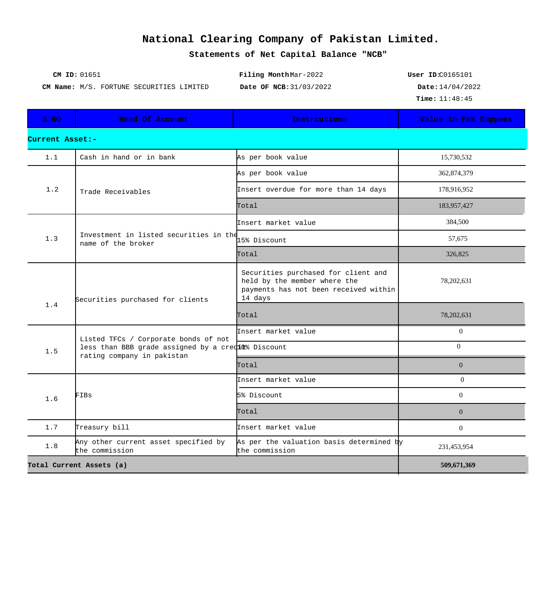## **National Clearing Company of Pakistan Limited.**

**Statements of Net Capital Balance "NCB"**

| CM ID: 01651                                    | Filing MonthMar-2022    | User $ID:CO165101$          |
|-------------------------------------------------|-------------------------|-----------------------------|
| <b>CM Name:</b> M/S. FORTUNE SECURITIES LIMITED | Date OF NCB: 31/03/2022 | $\texttt{Date}: 14/04/2022$ |
|                                                 |                         | <b>Time:</b> $11:48:45$     |

| S.NO                     | <b>Head Of Account</b>                                                                                                   | Instrcutions                                                                                                            | Value in Pak Ruppees |  |  |
|--------------------------|--------------------------------------------------------------------------------------------------------------------------|-------------------------------------------------------------------------------------------------------------------------|----------------------|--|--|
| Current Asset:-          |                                                                                                                          |                                                                                                                         |                      |  |  |
| 1.1                      | Cash in hand or in bank                                                                                                  | As per book value                                                                                                       | 15,730,532           |  |  |
| 1.2                      | Trade Receivables                                                                                                        | As per book value                                                                                                       | 362,874,379          |  |  |
|                          |                                                                                                                          | Insert overdue for more than 14 days                                                                                    | 178,916,952          |  |  |
|                          |                                                                                                                          | Total                                                                                                                   | 183,957,427          |  |  |
| 1.3                      | Investment in listed securities in the<br>name of the broker                                                             | Insert market value                                                                                                     | 384,500              |  |  |
|                          |                                                                                                                          | 15% Discount                                                                                                            | 57,675               |  |  |
|                          |                                                                                                                          | Total                                                                                                                   | 326,825              |  |  |
| 1.4                      | Securities purchased for clients                                                                                         | Securities purchased for client and<br>held by the member where the<br>payments has not been received within<br>14 days | 78,202,631           |  |  |
|                          |                                                                                                                          | Total                                                                                                                   | 78,202,631           |  |  |
| 1.5                      | Listed TFCs / Corporate bonds of not<br>less than BBB grade assigned by a creditt Discount<br>rating company in pakistan | Insert market value                                                                                                     | $\overline{0}$       |  |  |
|                          |                                                                                                                          |                                                                                                                         | $\Omega$             |  |  |
|                          |                                                                                                                          | Total                                                                                                                   | $\overline{0}$       |  |  |
| 1.6                      | FIBs                                                                                                                     | Insert market value                                                                                                     | $\theta$             |  |  |
|                          |                                                                                                                          | 5% Discount                                                                                                             | $\Omega$             |  |  |
|                          |                                                                                                                          | Total                                                                                                                   | $\Omega$             |  |  |
| 1.7                      | Treasury bill                                                                                                            | Insert market value                                                                                                     | $\Omega$             |  |  |
| 1.8                      | Any other current asset specified by<br>the commission                                                                   | As per the valuation basis determined by<br>the commission                                                              | 231,453,954          |  |  |
| Total Current Assets (a) |                                                                                                                          |                                                                                                                         | 509,671,369          |  |  |